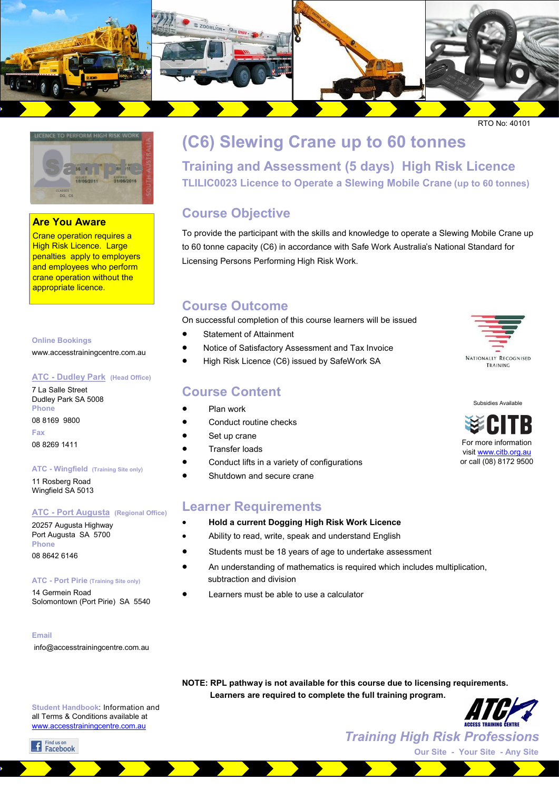



### **Are You Aware**

Crane operation requires a High Risk Licence. Large penalties apply to employers and employees who perform crane operation without the appropriate licence.

#### **Online Bookings**

www.accesstrainingcentre.com.au

#### **ATC - Dudley Park (Head Office)**

7 La Salle Street Dudley Park SA 5008 **Phone**  08 8169 9800 **Fax**  08 8269 1411

#### **ATC - Wingfield (Training Site only)**

11 Rosberg Road Wingfield SA 5013

#### **ATC - Port Augusta (Regional Office)**

20257 Augusta Highway Port Augusta SA 5700 **Phone**  08 8642 6146

#### **ATC - Port Pirie (Training Site only)**

14 Germein Road Solomontown (Port Pirie) SA 5540

#### **Email**

info@accesstrainingcentre.com.au

# **(C6) Slewing Crane up to 60 tonnes Training and Assessment (5 days) High Risk Licence TLILIC0023 Licence to Operate a Slewing Mobile Crane (up to 60 tonnes)**

## **Course Objective**

To provide the participant with the skills and knowledge to operate a Slewing Mobile Crane up to 60 tonne capacity (C6) in accordance with Safe Work Australia's National Standard for Licensing Persons Performing High Risk Work.

### **Course Outcome**

On successful completion of this course learners will be issued

- Statement of Attainment
- Notice of Satisfactory Assessment and Tax Invoice
- High Risk Licence (C6) issued by SafeWork SA

### **Course Content**

- Plan work
- Conduct routine checks
- Set up crane
- Transfer loads
- Conduct lifts in a variety of configurations
- Shutdown and secure crane

### **Learner Requirements**

- **Hold a current Dogging High Risk Work Licence**
- Ability to read, write, speak and understand English
- Students must be 18 years of age to undertake assessment
- An understanding of mathematics is required which includes multiplication, subtraction and division
- Learners must be able to use a calculator



**Student Handbook**: Information and all Terms & Conditions available at [www.accesstrainingcentre.com.au](http://www.accesstrainingcentre.com.au)

f Find us on<br>Facebook



Subsidies Available

For more information visit [www.citb.org.au](http://www.citb.org.au) or call (08) 8172 9500

*Training High Risk Professions* **Our Site - Your Site - Any Site**